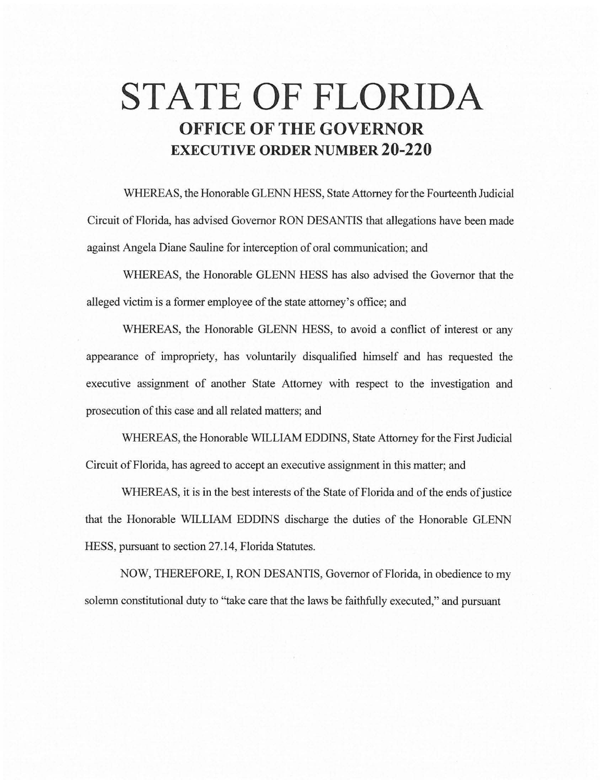## **STATE OF FLORIDA OFFICE OF THE GOVERNOR EXECUTIVE ORDER NUMBER 20-220**

WHEREAS, the Honorable GLENN HESS, State Attorney for the Fourteenth Judicial Circuit of Florida, has advised Governor RON DESANTIS that allegations have been made against Angela Diane Sauline for interception of oral communication; and

WHEREAS, the Honorable GLENN HESS has also advised the Governor that the alleged victim is a former employee of the state attorney's office; and

WHEREAS, the Honorable GLENN HESS, to avoid a conflict of interest or any appearance of impropriety, has voluntarily disqualified himself and has requested the executive assignment of another State Attorney with respect to the investigation and prosecution of this case and all related matters; and

WHEREAS, the Honorable WILLIAM EDDINS, State Attorney for the First Judicial Circuit of Florida, has agreed to accept an executive assignment in this matter; and

WHEREAS, it is in the best interests of the State of Florida and of the ends of justice that the Honorable WILLIAM EDDINS discharge the duties of the Honorable GLENN HESS, pursuant to section 27.14, Florida Statutes.

NOW, THEREFORE, I, RON DESANTIS, Governor of Florida, in obedience to my solemn constitutional duty to "take care that the laws be faithfully executed," and pursuant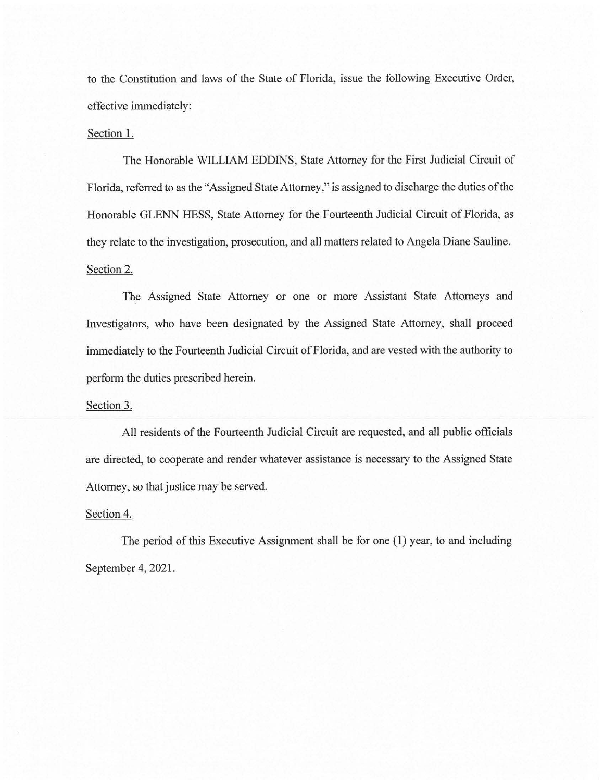to the Constitution and laws of the State of Florida, issue the following Executive Order, effective immediately:

## Section 1.

The Honorable WILLIAM EDDINS, State Attorney for the First Judicial Circuit of Florida, referred to as the "Assigned State Attorney," is assigned to discharge the duties of the Honorable GLENN HESS, State Attorney for the Fourteenth Judicial Circuit of Florida, as they relate to the investigation, prosecution, and all matters related to Angela Diane Sauline. Section 2.

The Assigned State Attorney or one or more Assistant State Attorneys and Investigators, who have been designated by the Assigned State Attorney, shall proceed immediately to the Fourteenth Judicial Circuit of Florida, and are vested with the authority to perform the duties prescribed herein.

## Section 3.

All residents of the Fourteenth Judicial Circuit are requested, and all public officials are directed, to cooperate and render whatever assistance is necessary to the Assigned State Attorney, so that justice may be served.

## Section 4.

The period of this Executive Assignment shall be for one (1) year, to and including September 4, 2021.